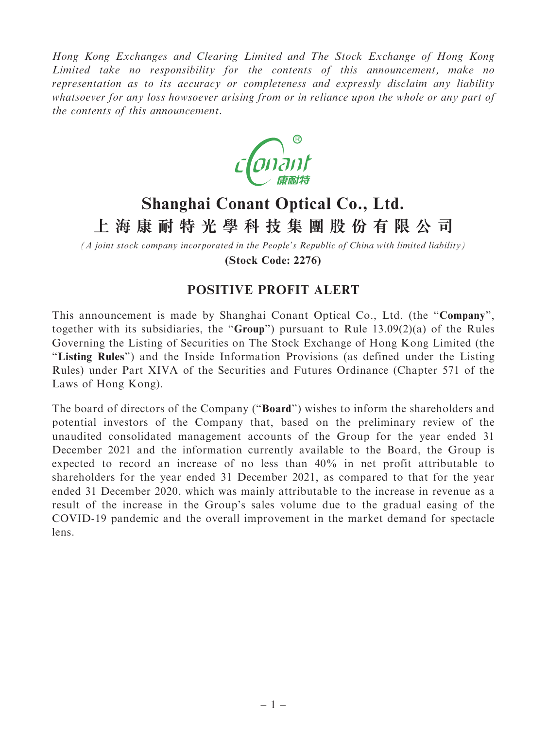Hong Kong Exchanges and Clearing Limited and The Stock Exchange of Hong Kong Limited take no responsibility for the contents of this announcement, make no representation as to its accuracy or completeness and expressly disclaim any liability whatsoever for any loss howsoever arising from or in reliance upon the whole or any part of the contents of this announcement.



## **Shanghai Conant Optical Co., Ltd. 上海康耐特光學科技集團股份有限公司**

*(A joint stock company incorporated in the People's Republic of China with limited liability)* **(Stock Code: 2276)**

## POSITIVE PROFIT ALERT

This announcement is made by Shanghai Conant Optical Co., Ltd. (the "Company", together with its subsidiaries, the "Group") pursuant to Rule  $13.09(2)(a)$  of the Rules Governing the Listing of Securities on The Stock Exchange of Hong Kong Limited (the "Listing Rules") and the Inside Information Provisions (as defined under the Listing Rules) under Part XIVA of the Securities and Futures Ordinance (Chapter 571 of the Laws of Hong Kong).

The board of directors of the Company ("**Board**") wishes to inform the shareholders and potential investors of the Company that, based on the preliminary review of the unaudited consolidated management accounts of the Group for the year ended 31 December 2021 and the information currently available to the Board, the Group is expected to record an increase of no less than 40% in net profit attributable to shareholders for the year ended 31 December 2021, as compared to that for the year ended 31 December 2020, which was mainly attributable to the increase in revenue as a result of the increase in the Group's sales volume due to the gradual easing of the COVID-19 pandemic and the overall improvement in the market demand for spectacle lens.